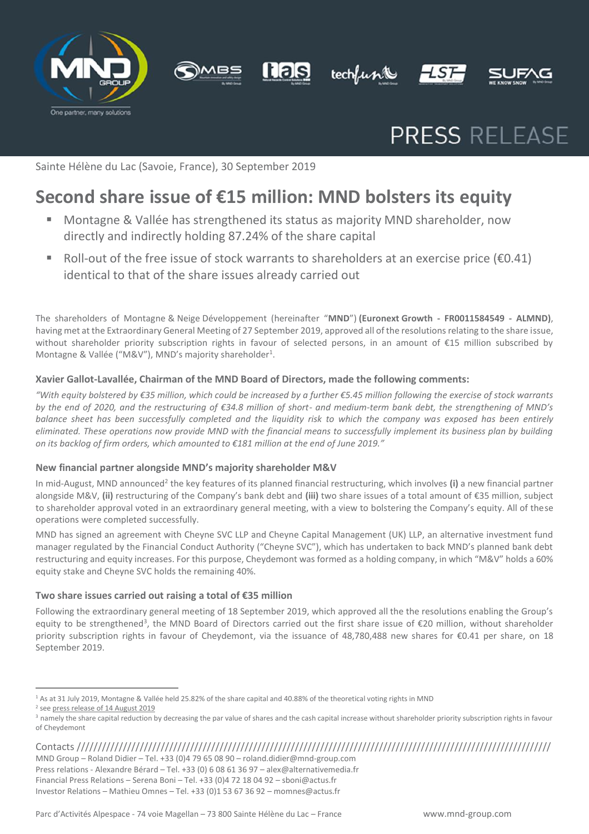









# PRESS RELEASE

Sainte Hélène du Lac (Savoie, France), 30 September 2019

## **Second share issue of €15 million: MND bolsters its equity**

- Montagne & Vallée has strengthened its status as majority MND shareholder, now directly and indirectly holding 87.24% of the share capital
- Roll-out of the free issue of stock warrants to shareholders at an exercise price ( $\epsilon$ 0.41) identical to that of the share issues already carried out

The shareholders of Montagne & Neige Développement (hereinafter "**MND**") **(Euronext Growth - FR0011584549 - ALMND)**, having met at the Extraordinary General Meeting of 27 September 2019, approved all of the resolutions relating to the share issue, without shareholder priority subscription rights in favour of selected persons, in an amount of €15 million subscribed by Montagne & Vallée ("M&V"), MND's majority shareholder<sup>1</sup>.

#### **Xavier Gallot-Lavallée, Chairman of the MND Board of Directors, made the following comments:**

*"With equity bolstered by €35 million, which could be increased by a further €5.45 million following the exercise of stock warrants by the end of 2020, and the restructuring of €34.8 million of short- and medium-term bank debt, the strengthening of MND's balance sheet has been successfully completed and the liquidity risk to which the company was exposed has been entirely eliminated. These operations now provide MND with the financial means to successfully implement its business plan by building on its backlog of firm orders, which amounted to €181 million at the end of June 2019."* 

#### **New financial partner alongside MND's majority shareholder M&V**

In mid-August, MND announced<sup>2</sup> the key features of its planned financial restructuring, which involves (i) a new financial partner alongside M&V, **(ii)** restructuring of the Company's bank debt and **(iii)** two share issues of a total amount of €35 million, subject to shareholder approval voted in an extraordinary general meeting, with a view to bolstering the Company's equity. All of these operations were completed successfully.

MND has signed an agreement with Cheyne SVC LLP and Cheyne Capital Management (UK) LLP, an alternative investment fund manager regulated by the Financial Conduct Authority ("Cheyne SVC"), which has undertaken to back MND's planned bank debt restructuring and equity increases. For this purpose, Cheydemont was formed as a holding company, in which "M&V" holds a 60% equity stake and Cheyne SVC holds the remaining 40%.

#### **Two share issues carried out raising a total of €35 million**

Following the extraordinary general meeting of 18 September 2019, which approved all the the resolutions enabling the Group's equity to be strengthened<sup>3</sup>, the MND Board of Directors carried out the first share issue of €20 million, without shareholder priority subscription rights in favour of Cheydemont, via the issuance of 48,780,488 new shares for €0.41 per share, on 18 September 2019.

Contacts ///////////////////////////////////////////////////////////////////////////////////////////////////////////////// MND Group – Roland Didier – Tel. +33 (0)4 79 65 08 90 – [roland.didier@mnd-group.com](mailto:roland.didier@mnd-group.com) Press relations - Alexandre Bérard – Tel. +33 (0) 6 08 61 36 97 – alex@alternativemedia.fr Financial Press Relations – Serena Boni – Tel. +33 (0)4 72 18 04 92 – [sboni@actus.fr](mailto:sboni@actus.fr) Investor Relations – Mathieu Omnes – Tel. +33 (0)1 53 67 36 92 – [momnes@actus.fr](mailto:momnes@actus.fr)

<sup>1</sup> As at 31 July 2019, Montagne & Vallée held 25.82% of the share capital and 40.88% of the theoretical voting rights in MND

<sup>&</sup>lt;sup>2</sup> se[e press release of 14 August 2019](https://www.actusnews.com/documents_communiques/ACTUS-0-59804-cp-mnd-fr-14082019-vf2.pdf)

<sup>&</sup>lt;sup>3</sup> namely the share capital reduction by decreasing the par value of shares and the cash capital increase without shareholder priority subscription rights in favour of Cheydemont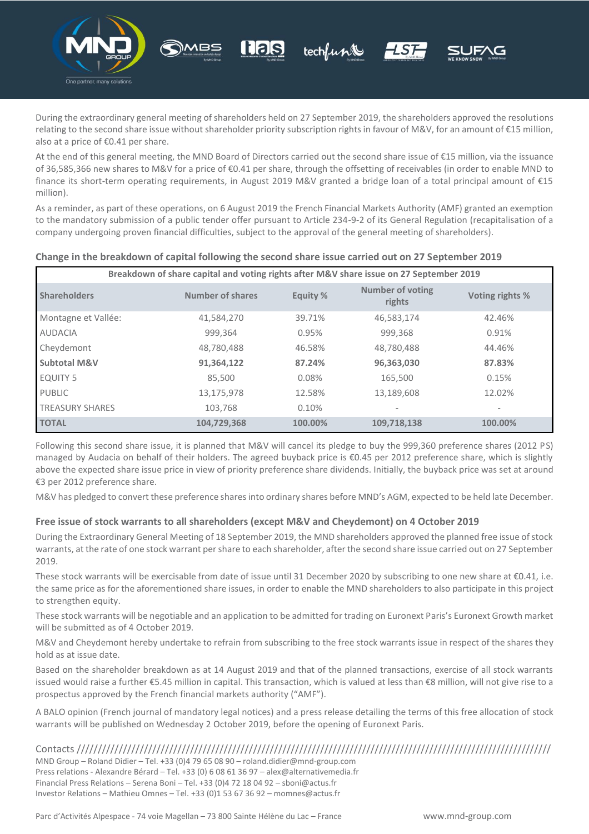

During the extraordinary general meeting of shareholders held on 27 September 2019, the shareholders approved the resolutions relating to the second share issue without shareholder priority subscription rights in favour of M&V, for an amount of €15 million, also at a price of €0.41 per share.

techlunt

At the end of this general meeting, the MND Board of Directors carried out the second share issue of €15 million, via the issuance of 36,585,366 new shares to M&V for a price of €0.41 per share, through the offsetting of receivables (in order to enable MND to finance its short-term operating requirements, in August 2019 M&V granted a bridge loan of a total principal amount of €15 million).

As a reminder, as part of these operations, on 6 August 2019 the French Financial Markets Authority (AMF) granted an exemption to the mandatory submission of a public tender offer pursuant to Article 234-9-2 of its General Regulation (recapitalisation of a company undergoing proven financial difficulties, subject to the approval of the general meeting of shareholders).

| Breakdown of share capital and voting rights after M&V share issue on 27 September 2019 |                         |          |                                   |                 |
|-----------------------------------------------------------------------------------------|-------------------------|----------|-----------------------------------|-----------------|
| <b>Shareholders</b>                                                                     | <b>Number of shares</b> | Equity % | <b>Number of voting</b><br>rights | Voting rights % |
| Montagne et Vallée:                                                                     | 41,584,270              | 39.71%   | 46,583,174                        | 42.46%          |
| <b>AUDACIA</b>                                                                          | 999,364                 | 0.95%    | 999,368                           | 0.91%           |
| Cheydemont                                                                              | 48,780,488              | 46.58%   | 48,780,488                        | 44.46%          |
| <b>Subtotal M&amp;V</b>                                                                 | 91,364,122              | 87.24%   | 96,363,030                        | 87.83%          |
| <b>EQUITY 5</b>                                                                         | 85.500                  | 0.08%    | 165,500                           | 0.15%           |
| <b>PUBLIC</b>                                                                           | 13,175,978              | 12.58%   | 13,189,608                        | 12.02%          |
| <b>TREASURY SHARES</b>                                                                  | 103.768                 | 0.10%    |                                   |                 |
| <b>TOTAL</b>                                                                            | 104.729.368             | 100.00%  | 109.718.138                       | 100.00%         |

#### **Change in the breakdown of capital following the second share issue carried out on 27 September 2019**

Following this second share issue, it is planned that M&V will cancel its pledge to buy the 999,360 preference shares (2012 PS) managed by Audacia on behalf of their holders. The agreed buyback price is €0.45 per 2012 preference share, which is slightly above the expected share issue price in view of priority preference share dividends. Initially, the buyback price was set at around €3 per 2012 preference share.

M&V has pledged to convert these preference shares into ordinary shares before MND's AGM, expected to be held late December.

#### **Free issue of stock warrants to all shareholders (except M&V and Cheydemont) on 4 October 2019**

During the Extraordinary General Meeting of 18 September 2019, the MND shareholders approved the planned free issue of stock warrants, at the rate of one stock warrant per share to each shareholder, after the second share issue carried out on 27 September 2019.

These stock warrants will be exercisable from date of issue until 31 December 2020 by subscribing to one new share at €0.41, i.e. the same price as for the aforementioned share issues, in order to enable the MND shareholders to also participate in this project to strengthen equity.

These stock warrants will be negotiable and an application to be admitted for trading on Euronext Paris's Euronext Growth market will be submitted as of 4 October 2019.

M&V and Cheydemont hereby undertake to refrain from subscribing to the free stock warrants issue in respect of the shares they hold as at issue date.

Based on the shareholder breakdown as at 14 August 2019 and that of the planned transactions, exercise of all stock warrants issued would raise a further €5.45 million in capital. This transaction, which is valued at less than €8 million, will not give rise to a prospectus approved by the French financial markets authority ("AMF").

A BALO opinion (French journal of mandatory legal notices) and a press release detailing the terms of this free allocation of stock warrants will be published on Wednesday 2 October 2019, before the opening of Euronext Paris.

Contacts ///////////////////////////////////////////////////////////////////////////////////////////////////////////////// MND Group – Roland Didier – Tel. +33 (0)4 79 65 08 90 – [roland.didier@mnd-group.com](mailto:roland.didier@mnd-group.com) Press relations - Alexandre Bérard – Tel. +33 (0) 6 08 61 36 97 – alex@alternativemedia.fr Financial Press Relations – Serena Boni – Tel. +33 (0)4 72 18 04 92 – [sboni@actus.fr](mailto:sboni@actus.fr) Investor Relations – Mathieu Omnes – Tel. +33 (0)1 53 67 36 92 – [momnes@actus.fr](mailto:momnes@actus.fr)